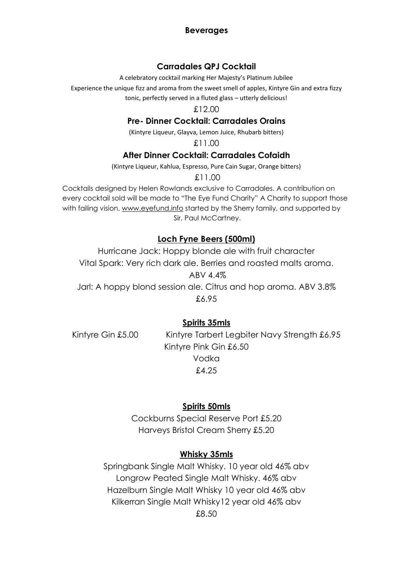#### **Beverages**

#### **Carradales QPJ Cocktail**

A celebratory cocktail marking Her Majesty's Platinum Jubilee

Experience the unique fizz and aroma from the sweet smell of apples, Kintyre Gin and extra fizzy

tonic, perfectly served in a fluted glass – utterly delicious!

£12.00

# **Pre- Dinner Cocktail: Carradales Orains**

(Kintyre Liqueur, Glayva, Lemon Juice, Rhubarb bitters)

£11.00

#### **After Dinner Cocktail: Carradales Cofaidh**

(Kintyre Liqueur, Kahlua, Espresso, Pure Cain Sugar, Orange bitters)

£11.00

Cocktails designed by Helen Rowlands exclusive to Carradales. A contribution on every cocktail sold will be made to "The Eye Fund Charity" A Charity to support those with failing vision. [www.eyefund.info](http://www.eyefund.info/) started by the Sherry family, and supported by Sir. Paul McCartney.

# **Loch Fyne Beers (500ml)**

Hurricane Jack: Hoppy blonde ale with fruit character Vital Spark: Very rich dark ale. Berries and roasted malts aroma. ABV 4.4% Jarl: A hoppy blond session ale. Citrus and hop aroma. ABV 3.8% £6.95

# **Spirits 35mls**

Kintyre Gin £5.00 Kintyre Tarbert Legbiter Navy Strength £6.95 Kintyre Pink Gin £6.50 Vodka £4.25

# **Spirits 50mls**

Cockburns Special Reserve Port £5.20 Harveys Bristol Cream Sherry £5.20

# **Whisky 35mls**

Springbank Single Malt Whisky. 10 year old 46% abv Longrow Peated Single Malt Whisky. 46% abv Hazelburn Single Malt Whisky 10 year old 46% abv Kilkerran Single Malt Whisky12 year old 46% abv £8.50